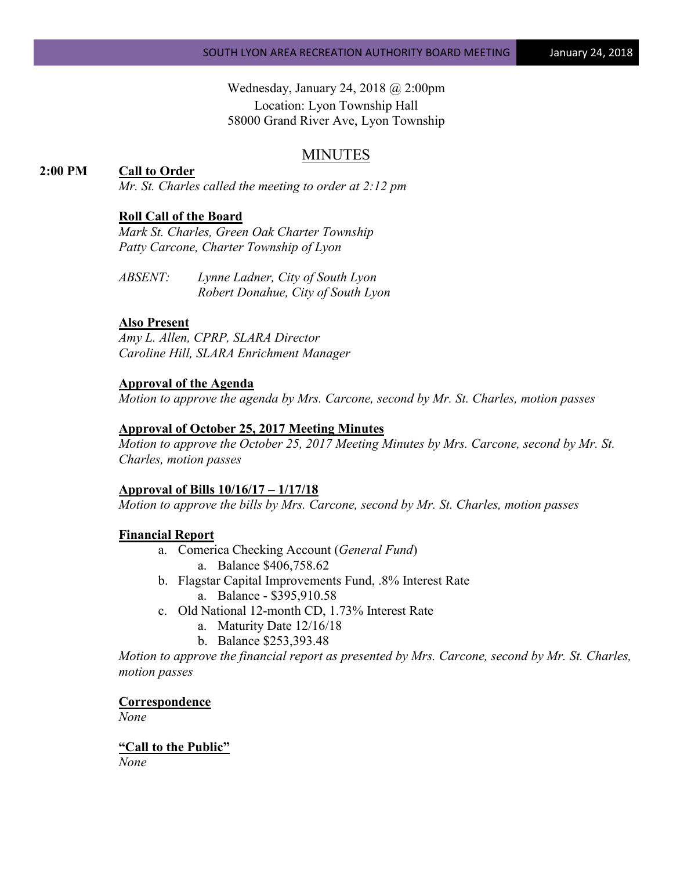Wednesday, January 24, 2018 @ 2:00pm Location: Lyon Township Hall 58000 Grand River Ave, Lyon Township

## MINUTES

## **2:00 PM Call to Order**

*Mr. St. Charles called the meeting to order at 2:12 pm*

### **Roll Call of the Board**

*Mark St. Charles, Green Oak Charter Township Patty Carcone, Charter Township of Lyon* 

*ABSENT: Lynne Ladner, City of South Lyon Robert Donahue, City of South Lyon* 

#### **Also Present**

*Amy L. Allen, CPRP, SLARA Director Caroline Hill, SLARA Enrichment Manager*

#### **Approval of the Agenda**

*Motion to approve the agenda by Mrs. Carcone, second by Mr. St. Charles, motion passes*

#### **Approval of October 25, 2017 Meeting Minutes**

*Motion to approve the October 25, 2017 Meeting Minutes by Mrs. Carcone, second by Mr. St. Charles, motion passes*

#### **Approval of Bills 10/16/17 – 1/17/18**

*Motion to approve the bills by Mrs. Carcone, second by Mr. St. Charles, motion passes*

#### **Financial Report**

- a. Comerica Checking Account (*General Fund*) a. Balance \$406,758.62
- b. Flagstar Capital Improvements Fund, .8% Interest Rate a. Balance - \$395,910.58
- c. Old National 12-month CD, 1.73% Interest Rate
	- a. Maturity Date 12/16/18
	- b. Balance \$253,393.48

*Motion to approve the financial report as presented by Mrs. Carcone, second by Mr. St. Charles, motion passes*

**Correspondence**

*None*

**"Call to the Public"**

*None*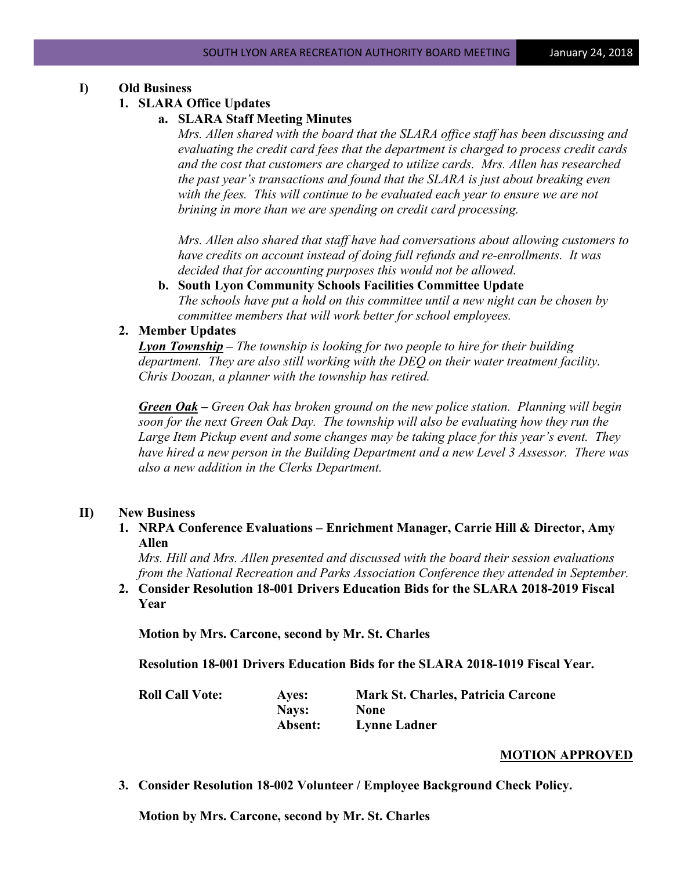## **I) Old Business**

### **1. SLARA Office Updates**

### **a. SLARA Staff Meeting Minutes**

*Mrs. Allen shared with the board that the SLARA office staff has been discussing and evaluating the credit card fees that the department is charged to process credit cards and the cost that customers are charged to utilize cards. Mrs. Allen has researched the past year's transactions and found that the SLARA is just about breaking even with the fees. This will continue to be evaluated each year to ensure we are not brining in more than we are spending on credit card processing.*

*Mrs. Allen also shared that staff have had conversations about allowing customers to have credits on account instead of doing full refunds and re-enrollments. It was decided that for accounting purposes this would not be allowed.*

**b. South Lyon Community Schools Facilities Committee Update** *The schools have put a hold on this committee until a new night can be chosen by committee members that will work better for school employees.*

### **2. Member Updates**

*Lyon Township – The township is looking for two people to hire for their building department. They are also still working with the DEQ on their water treatment facility. Chris Doozan, a planner with the township has retired.*

*Green Oak – Green Oak has broken ground on the new police station. Planning will begin soon for the next Green Oak Day. The township will also be evaluating how they run the Large Item Pickup event and some changes may be taking place for this year's event. They have hired a new person in the Building Department and a new Level 3 Assessor. There was also a new addition in the Clerks Department.*

### **II) New Business**

**1. NRPA Conference Evaluations – Enrichment Manager, Carrie Hill & Director, Amy Allen**

*Mrs. Hill and Mrs. Allen presented and discussed with the board their session evaluations from the National Recreation and Parks Association Conference they attended in September.*

**2. Consider Resolution 18-001 Drivers Education Bids for the SLARA 2018-2019 Fiscal Year**

**Motion by Mrs. Carcone, second by Mr. St. Charles**

**Resolution 18-001 Drivers Education Bids for the SLARA 2018-1019 Fiscal Year.**

**Roll Call Vote: Ayes: Mark St. Charles, Patricia Carcone Nays: None Absent: Lynne Ladner**

### **MOTION APPROVED**

**3. Consider Resolution 18-002 Volunteer / Employee Background Check Policy.**

**Motion by Mrs. Carcone, second by Mr. St. Charles**